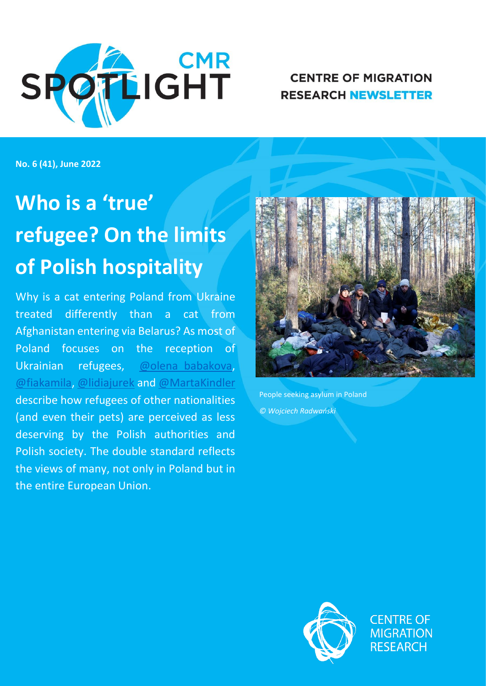

**CENTRE OF MIGRATION RESEARCH NEWSLETTER** 

**No. 6 (41), June 2022**

# **Who is a 'true' refugee? On the limits of Polish hospitality**

Why is a cat entering Poland from Ukraine treated differently than a cat from Afghanistan entering via Belarus? As most of Poland focuses on the reception of Ukrainian refugees, [@olena\\_babakova,](https://twitter.com/olena_babakova) [@fiakamila,](https://twitter.com/FiaKamila) [@lidiajurek](https://twitter.com/lidiajurek) and [@MartaKindler](https://twitter.com/MartaKindler) describe how refugees of other nationalities (and even their pets) are perceived as less deserving by the Polish authorities and Polish society. The double standard reflects the views of many, not only in Poland but in the entire European Union.



People seeking asylum in Poland *© Wojciech Radwański*



**CENTRE OF MIGRATION RESEARCH**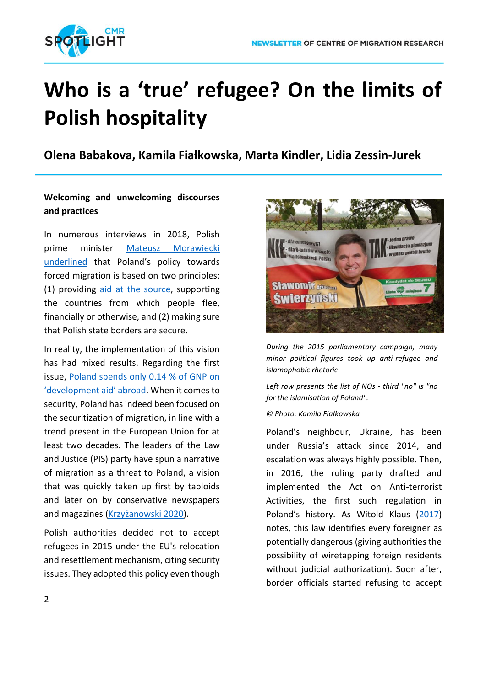

## **Who is a 'true' refugee? On the limits of Polish hospitality**

**Olena Babakova, Kamila Fiałkowska, Marta Kindler, Lidia Zessin-Jurek**

## **Welcoming and unwelcoming discourses and practices**

In numerous interviews in 2018, Polish prime minister [Mateusz Morawiecki](https://www.gov.pl/web/premier/premier-mateusz-morawiecki-ue-musi-zachowac-jednosc-i-sprawiedliwosc-w-podejsciu-do-kwestii-migracji)  [underlined](https://www.gov.pl/web/premier/premier-mateusz-morawiecki-ue-musi-zachowac-jednosc-i-sprawiedliwosc-w-podejsciu-do-kwestii-migracji) that Poland's policy towards forced migration is based on two principles: (1) providing [aid at the source,](file:///C:/Users/kindl/Downloads/%22Przekażemy%2010%20mln%20dolarów%20na%20budowę%20domów%20dla%20syryjskich%20uchodźców%20w%20Libanie%22%20-%20Wiadomości%20-%20polskieradio.pl) supporting the countries from which people flee, financially or otherwise, and (2) making sure that Polish state borders are secure.

In reality, the implementation of this vision has had mixed results. Regarding the first issue, [Poland spends only 0.14 % of GNP](https://www.gov.pl/web/polskapomoc/oda) on ['development aid' abroad](https://www.gov.pl/web/polskapomoc/oda). When it comes to security, Poland has indeed been focused on the securitization of migration, in line with a trend present in the European Union for at least two decades. The leaders of the Law and Justice (PIS) party have spun a narrative of migration as a threat to Poland, a vision that was quickly taken up first by tabloids and later on by conservative newspapers and magazines ([Krzyżanowski 2020](file:///C:/Users/kindl/Downloads/10.1080/10350330.2020.1766199)).

Polish authorities decided not to accept refugees in 2015 under the EU's relocation and resettlement mechanism, citing security issues. They adopted this policy even though



*During the 2015 parliamentary campaign, many minor political figures took up anti-refugee and islamophobic rhetoric*

*Left row presents the list of NOs - third "no" is "no for the islamisation of Poland".*

#### *© Photo: Kamila Fiałkowska*

Poland's neighbour, Ukraine, has been under Russia's attack since 2014, and escalation was always highly possible. Then, in 2016, the ruling party drafted and implemented the Act on Anti-terrorist Activities, the first such regulation in Poland's history. As Witold Klaus ([2017\)](https://www.academia.edu/34194711/SECURITY_FIRST_NEW_RIGHT_WING_GOVERNMENT_IN_POLAND_AND_ITS_POLICY_TOWARDS_IMMIGRANTS_AND_REFUGEES) notes, this law identifies every foreigner as potentially dangerous (giving authorities the possibility of wiretapping foreign residents without judicial authorization). Soon after, border officials started refusing to accept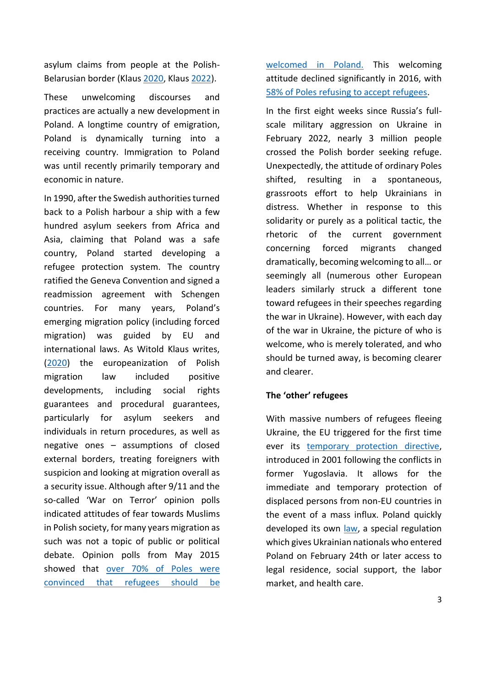asylum claims from people at the Polish-Belarusian border (Klaus [2020,](https://www.jstor.org/stable/j.ctvxrpzhz) Klaus [2022\)](https://www.migracje.uw.edu.pl/publikacje/poza-prawem-prawna-ocena-dzialan-panstwa-polskiego-w-reakcji-na-kryzys-humanitarny-na-granicy-polsko-bialoruskiej/).

These unwelcoming discourses and practices are actually a new development in Poland. A longtime country of emigration, Poland is dynamically turning into a receiving country. Immigration to Poland was until recently primarily temporary and economic in nature.

In 1990, after the Swedish authorities turned back to a Polish harbour a ship with a few hundred asylum seekers from Africa and Asia, claiming that Poland was a safe country, Poland started developing a refugee protection system. The country ratified the Geneva Convention and signed a readmission agreement with Schengen countries. For many years, Poland's emerging migration policy (including forced migration) was guided by EU and international laws. As Witold Klaus writes, [\(2020\)](https://www.jstor.org/stable/j.ctvxrpzhz) the europeanization of Polish migration law included positive developments, including social rights guarantees and procedural guarantees, particularly for asylum seekers and individuals in return procedures, as well as negative ones – assumptions of closed external borders, treating foreigners with suspicion and looking at migration overall as a security issue. Although after 9/11 and the so-called 'War on Terror' opinion polls indicated attitudes of fear towards Muslims in Polish society, for many years migration as such was not a topic of public or political debate. Opinion polls from May 2015 showed that [over 70% of Poles were](https://www.cbos.pl/SPISKOM.POL/2015/K_122_15.PDF)  [convinced that refugees should be](https://www.cbos.pl/SPISKOM.POL/2015/K_122_15.PDF)  [welcomed in Poland.](https://www.cbos.pl/SPISKOM.POL/2015/K_122_15.PDF) This welcoming attitude declined significantly in 2016, with [58% of Poles refusing to accept refugees.](https://cbos.pl/SPISKOM.POL/2016/K_128_16.PDF)

In the first eight weeks since Russia's fullscale military aggression on Ukraine in February 2022, nearly 3 million people crossed the Polish border seeking refuge. Unexpectedly, the attitude of ordinary Poles shifted, resulting in a spontaneous, grassroots effort to help Ukrainians in distress. Whether in response to this solidarity or purely as a political tactic, the rhetoric of the current government concerning forced migrants changed dramatically, becoming welcoming to all… or seemingly all (numerous other European leaders similarly struck a different tone toward refugees in their speeches regarding the war in Ukraine). However, with each day of the war in Ukraine, the picture of who is welcome, who is merely tolerated, and who should be turned away, is becoming clearer and clearer.

#### **The 'other' refugees**

With massive numbers of refugees fleeing Ukraine, the EU triggered for the first time ever its [temporary protection directive,](https://eur-lex.europa.eu/legal-content/EN/TXT/?uri=LEGISSUM%3Al33124) introduced in 2001 following the conflicts in former Yugoslavia. It allows for the immediate and temporary protection of displaced persons from non-EU countries in the event of a mass influx. Poland quickly developed its own [law,](https://dziennikustaw.gov.pl/D2022000058301.pdf) a special regulation which gives Ukrainian nationals who entered Poland on February 24th or later access to legal residence, social support, the labor market, and health care.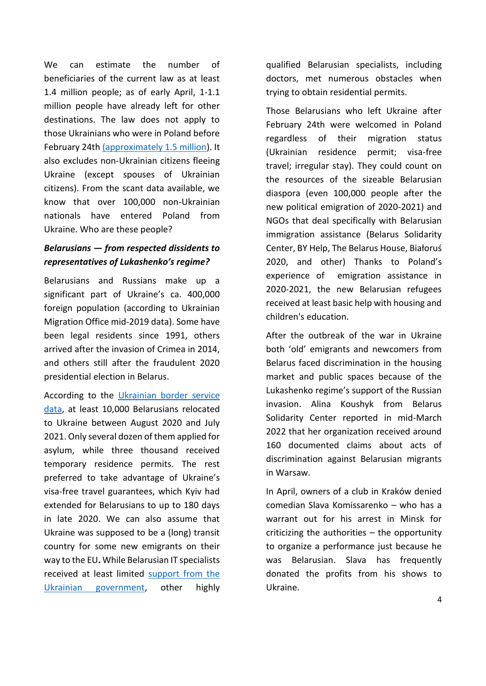We can estimate the number of beneficiaries of the current law as at least 1.4 million people; as of early April, 1-1.1 million people have already left for other destinations. The law does not apply to those Ukrainians who were in Poland before February 24th [\(approximately 1.5 million\)](https://www.migracje.uw.edu.pl/wp-content/uploads/2020/10/WP123181_end-1.pdf). It also excludes non-Ukrainian citizens fleeing Ukraine (except spouses of Ukrainian citizens). From the scant data available, we know that over 100,000 non-Ukrainian nationals have entered Poland from Ukraine. Who are these people?

## *Belarusians — from respected dissidents to representatives of Lukashenko's regime?*

Belarusians and Russians make up a significant part of Ukraine's ca. 400,000 foreign population (according to Ukrainian Migration Office mid-2019 data). Some have been legal residents since 1991, others arrived after the invasion of Crimea in 2014, and others still after the fraudulent 2020 presidential election in Belarus.

According to the [Ukrainian border service](https://zmina.info/articles/ukrayina-nedostatno-dopomagaye-postrazhdalym-vid-rezhymu-lukashenka/)  [data,](https://zmina.info/articles/ukrayina-nedostatno-dopomagaye-postrazhdalym-vid-rezhymu-lukashenka/) at least 10,000 Belarusians relocated to Ukraine between August 2020 and July 2021. Only several dozen of them applied for asylum, while three thousand received temporary residence permits. The rest preferred to take advantage of Ukraine's visa-free travel guarantees, which Kyiv had extended for Belarusians to up to 180 days in late 2020. We can also assume that Ukraine was supposed to be a (long) transit country for some new emigrants on their way to the EU**.** While Belarusian IT specialists received at least limited [support from the](https://www.president.gov.ua/documents/4202020-35217)  [Ukrainian government,](https://www.president.gov.ua/documents/4202020-35217) other highly qualified Belarusian specialists, including doctors, met numerous obstacles when trying to obtain residential permits.

Those Belarusians who left Ukraine after February 24th were welcomed in Poland regardless of their migration status (Ukrainian residence permit; visa-free travel; irregular stay). They could count on the resources of the sizeable Belarusian diaspora (even 100,000 people after the new political emigration of 2020-2021) and NGOs that deal specifically with Belarusian immigration assistance (Belarus Solidarity Center, BY Help, The Belarus House, Białoruś 2020, and other) Thanks to Poland's experience of emigration assistance in 2020-2021, the new Belarusian refugees received at least basic help with housing and children's education.

After the outbreak of the war in Ukraine both 'old' emigrants and newcomers from Belarus faced discrimination in the housing market and public spaces because of the Lukashenko regime's support of the Russian invasion. Alina Koushyk from Belarus Solidarity Center reported in mid-March 2022 that her organization received around 160 documented claims about acts of discrimination against Belarusian migrants in Warsaw.

In April, owners of a club in Kraków denied comedian Slava Komissarenko – who has a warrant out for his arrest in Minsk for criticizing the authorities – the opportunity to organize a performance just because he was Belarusian. Slava has frequently donated the profits from his shows to Ukraine.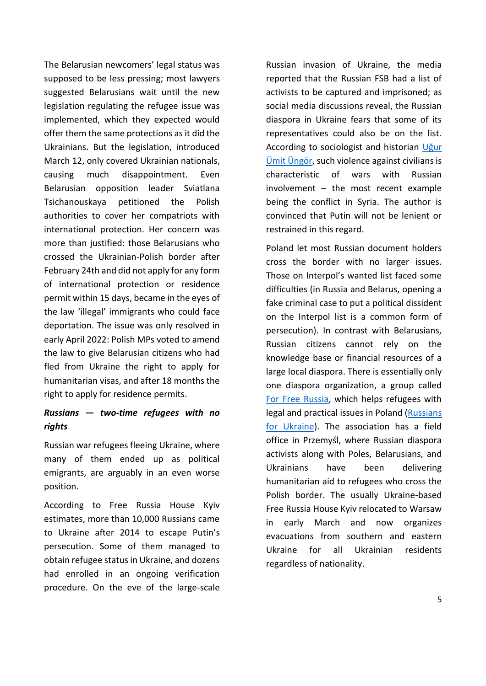The Belarusian newcomers' legal status was supposed to be less pressing; most lawyers suggested Belarusians wait until the new legislation regulating the refugee issue was implemented, which they expected would offer them the same protections as it did the Ukrainians. But the legislation, introduced March 12, only covered Ukrainian nationals, causing much disappointment. Even Belarusian opposition leader Sviatlana Tsichanouskaya petitioned the Polish authorities to cover her compatriots with international protection. Her concern was more than justified: those Belarusians who crossed the Ukrainian-Polish border after February 24th and did not apply for any form of international protection or residence permit within 15 days, became in the eyes of the law 'illegal' immigrants who could face deportation. The issue was only resolved in early April 2022: Polish MPs voted to amend the law to give Belarusian citizens who had fled from Ukraine the right to apply for humanitarian visas, and after 18 months the right to apply for residence permits.

### *Russians — two-time refugees with no rights*

Russian war refugees fleeing Ukraine, where many of them ended up as political emigrants, are arguably in an even worse position.

According to Free Russia House Kyiv estimates, more than 10,000 Russians came to Ukraine after 2014 to escape Putin's persecution. Some of them managed to obtain refugee status in Ukraine, and dozens had enrolled in an ongoing verification procedure. On the eve of the large-scale Russian invasion of Ukraine, the media reported that the Russian FSB had a list of activists to be captured and imprisoned; as social media discussions reveal, the Russian diaspora in Ukraine fears that some of its representatives could also be on the list. According to sociologist and historian [Uğur](http://www.ungor.nl/)  [Ümit Üngör](http://www.ungor.nl/), such violence against civilians is characteristic of wars with Russian involvement – the most recent example being the conflict in Syria. The author is convinced that Putin will not be lenient or restrained in this regard.

Poland let most Russian document holders cross the border with no larger issues. Those on Interpol's wanted list faced some difficulties (in Russia and Belarus, opening a fake criminal case to put a political dissident on the Interpol list is a common form of persecution). In contrast with Belarusians, Russian citizens cannot rely on the knowledge base or financial resources of a large local diaspora. There is essentially only one diaspora organization, a group called [For Free Russia,](https://freerussia.eu/pl/) which helps refugees with legal and practical issues in Poland [\(Russians](https://rfu2022.org/en/)  [for Ukraine\)](https://rfu2022.org/en/). The association has a field office in Przemyśl, where Russian diaspora activists along with Poles, Belarusians, and Ukrainians have been delivering humanitarian aid to refugees who cross the Polish border. The usually Ukraine-based Free Russia House Kyiv relocated to Warsaw in early March and now organizes evacuations from southern and eastern Ukraine for all Ukrainian residents regardless of nationality.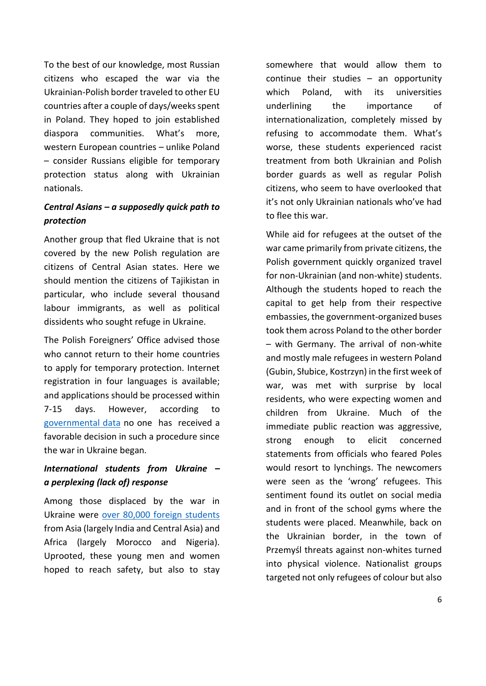To the best of our knowledge, most Russian citizens who escaped the war via the Ukrainian-Polish border traveled to other EU countries after a couple of days/weeks spent in Poland. They hoped to join established diaspora communities. What's more, western European countries – unlike Poland – consider Russians eligible for temporary protection status along with Ukrainian nationals.

## *Central Asians – a supposedly quick path to protection*

Another group that fled Ukraine that is not covered by the new Polish regulation are citizens of Central Asian states. Here we should mention the citizens of Tajikistan in particular, who include several thousand labour immigrants, as well as political dissidents who sought refuge in Ukraine.

The Polish Foreigners' Office advised those who cannot return to their home countries to apply for temporary protection. Internet registration in four languages is available; and applications should be processed within 7-15 days. However, according to [governmental data](https://www.gov.pl/web/udsc/informacja-o-dzialalnosci-udsc-2022) no one has received a favorable decision in such a procedure since the war in Ukraine began.

## *International students from Ukraine – a perplexing (lack of) response*

Among those displaced by the war in Ukraine were [over 80,000 foreign students](https://iom.org.ua/sites/default/files/migration_in_ukraine_facts_and_figures_2021-eng_web.pdf) from Asia (largely India and Central Asia) and Africa (largely Morocco and Nigeria). Uprooted, these young men and women hoped to reach safety, but also to stay

somewhere that would allow them to continue their studies – an opportunity which Poland, with its universities underlining the importance of internationalization, completely missed by refusing to accommodate them. What's worse, these students experienced racist treatment from both Ukrainian and Polish border guards as well as regular Polish citizens, who seem to have overlooked that it's not only Ukrainian nationals who've had to flee this war.

While aid for refugees at the outset of the war came primarily from private citizens, the Polish government quickly organized travel for non-Ukrainian (and non-white) students. Although the students hoped to reach the capital to get help from their respective embassies, the government-organized buses took them across Poland to the other border – with Germany. The arrival of non-white and mostly male refugees in western Poland (Gubin, Słubice, Kostrzyn) in the first week of war, was met with surprise by local residents, who were expecting women and children from Ukraine. Much of the immediate public reaction was aggressive, strong enough to elicit concerned statements from officials who feared Poles would resort to lynchings. The newcomers were seen as the 'wrong' refugees. This sentiment found its outlet on social media and in front of the school gyms where the students were placed. Meanwhile, back on the Ukrainian border, in the town of Przemyśl threats against non-whites turned into physical violence. Nationalist groups targeted not only refugees of colour but also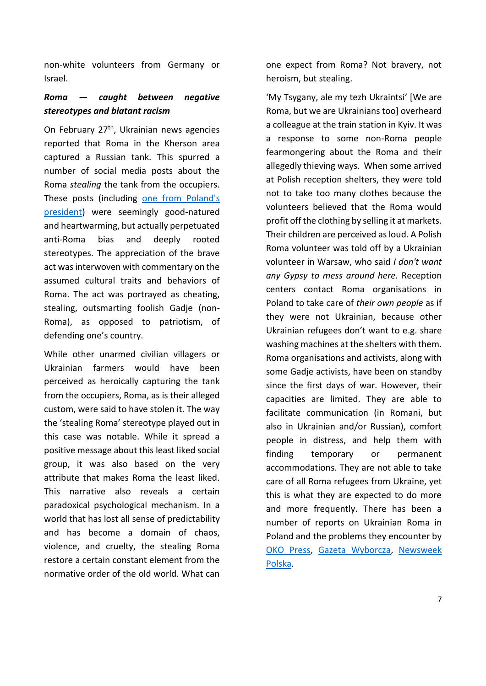non-white volunteers from Germany or Israel.

## *Roma — caught between negative stereotypes and blatant racism*

On February 27<sup>th</sup>, Ukrainian news agencies reported that Roma in the Kherson area captured a Russian tank. This spurred a number of social media posts about the Roma *stealing* the tank from the occupiers. These posts (including [one from Poland's](https://twitter.com/andrzejduda/status/1497899381697257475)  [president\)](https://twitter.com/andrzejduda/status/1497899381697257475) were seemingly good-natured and heartwarming, but actually perpetuated anti-Roma bias and deeply rooted stereotypes. The appreciation of the brave act was interwoven with commentary on the assumed cultural traits and behaviors of Roma. The act was portrayed as cheating, stealing, outsmarting foolish Gadje (non-Roma), as opposed to patriotism, of defending one's country.

While other unarmed civilian villagers or Ukrainian farmers would have been perceived as heroically capturing the tank from the occupiers, Roma, as is their alleged custom, were said to have stolen it. The way the 'stealing Roma' stereotype played out in this case was notable. While it spread a positive message about this least liked social group, it was also based on the very attribute that makes Roma the least liked. This narrative also reveals a certain paradoxical psychological mechanism. In a world that has lost all sense of predictability and has become a domain of chaos, violence, and cruelty, the stealing Roma restore a certain constant element from the normative order of the old world. What can

one expect from Roma? Not bravery, not heroism, but stealing.

'My Tsygany, ale my tezh Ukraintsi' [We are Roma, but we are Ukrainians too] overheard a colleague at the train station in Kyiv. It was a response to some non-Roma people fearmongering about the Roma and their allegedly thieving ways. When some arrived at Polish reception shelters, they were told not to take too many clothes because the volunteers believed that the Roma would profit off the clothing by selling it at markets. Their children are perceived as loud. A Polish Roma volunteer was told off by a Ukrainian volunteer in Warsaw, who said *I don't want any Gypsy to mess around here.* Reception centers contact Roma organisations in Poland to take care of *their own people* as if they were not Ukrainian, because other Ukrainian refugees don't want to e.g. share washing machines at the shelters with them. Roma organisations and activists, along with some Gadje activists, have been on standby since the first days of war. However, their capacities are limited. They are able to facilitate communication (in Romani, but also in Ukrainian and/or Russian), comfort people in distress, and help them with finding temporary or permanent accommodations. They are not able to take care of all Roma refugees from Ukraine, yet this is what they are expected to do more and more frequently. There has been a number of reports on Ukrainian Roma in Poland and the problems they encounter by [OKO Press,](https://oko.press/romowie-z-ukrainy-traktowani-jak-uchodzcy-drugiej-kategorii-slyszymy-tych-ludzi-nie-przyjmujemy/) [Gazeta Wyborcza,](https://wyborcza.pl/magazyn/7,124059,28275260,wolontariusze-odganiaja-ukrainskich-romow-bo-beda-jedzeniem.html) [Newsweek](https://www.newsweek.pl/swiat/wojna-na-ukrainie-ukrainscy-romowie-uciekaja-z-ukrainy-romowie-uchodzcy/gpncqtp?fbclid=IwAR3gfJj_MQwJjU2_USW3UVbkZL1LJ0IHkxjj1FJmsD5V2AD0N5U4yu4cA9s)  [Polska.](https://www.newsweek.pl/swiat/wojna-na-ukrainie-ukrainscy-romowie-uciekaja-z-ukrainy-romowie-uchodzcy/gpncqtp?fbclid=IwAR3gfJj_MQwJjU2_USW3UVbkZL1LJ0IHkxjj1FJmsD5V2AD0N5U4yu4cA9s)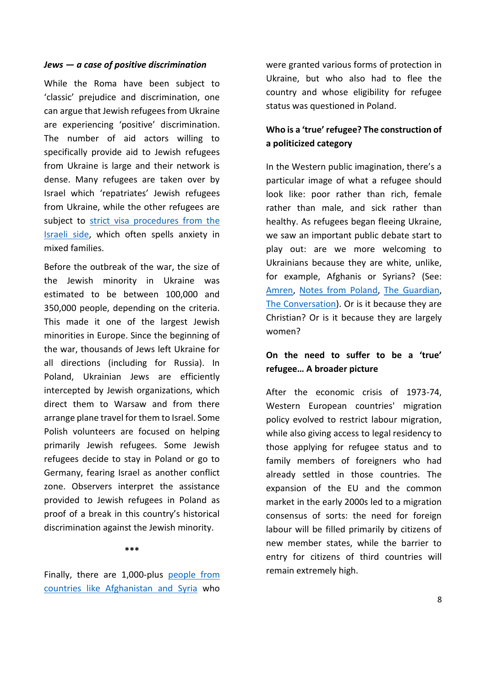#### *Jews — a case of positive discrimination*

While the Roma have been subject to 'classic' prejudice and discrimination, one can argue that Jewish refugees from Ukraine are experiencing 'positive' discrimination. The number of aid actors willing to specifically provide aid to Jewish refugees from Ukraine is large and their network is dense. Many refugees are taken over by Israel which 'repatriates' Jewish refugees from Ukraine, while the other refugees are subject to strict visa procedures from the [Israeli side,](https://www.npr.org/2022/03/14/1086498803/jewish-and-non-jewish-ukrainian-refugees-arrive-to-different-treatment-in-israel) which often spells anxiety in mixed families.

Before the outbreak of the war, the size of the Jewish minority in Ukraine was estimated to be between 100,000 and 350,000 people, depending on the criteria. This made it one of the largest Jewish minorities in Europe. Since the beginning of the war, thousands of Jews left Ukraine for all directions (including for Russia). In Poland, Ukrainian Jews are efficiently intercepted by Jewish organizations, which direct them to Warsaw and from there arrange plane travel for them to Israel. Some Polish volunteers are focused on helping primarily Jewish refugees. Some Jewish refugees decide to stay in Poland or go to Germany, fearing Israel as another conflict zone. Observers interpret the assistance provided to Jewish refugees in Poland as proof of a break in this country's historical discrimination against the Jewish minority.

#### **\*\*\***

Finally, there are 1,000-plus [people from](https://iom.org.ua/sites/default/files/migration_in_ukraine_facts_and_figures_2021-eng_web.pdf)  [countries like Afghanistan and Syria](https://iom.org.ua/sites/default/files/migration_in_ukraine_facts_and_figures_2021-eng_web.pdf) who

were granted various forms of protection in Ukraine, but who also had to flee the country and whose eligibility for refugee status was questioned in Poland.

## **Who is a 'true' refugee? The construction of a politicized category**

In the Western public imagination, there's a particular image of what a refugee should look like: poor rather than rich, female rather than male, and sick rather than healthy. As refugees began fleeing Ukraine, we saw an important public debate start to play out: are we more welcoming to Ukrainians because they are white, unlike, for example, Afghanis or Syrians? (See: [Amren,](https://www.amren.com/news/2022/03/its-good-to-be-a-white-refugee/) [Notes from Poland,](https://notesfrompoland.com/2022/03/10/non-ukrainian-refugees-in-poland-facing-exclusion-and-discrimination-warn-aid-groups/) [The Guardian,](https://www.theguardian.com/global-development/2022/mar/02/people-of-colour-fleeing-ukraine-attacked-by-polish-nationalists) [The Conversation\)](https://theconversation.com/ukraine-how-citizenship-and-race-play-out-in-refugees-movements-in-europe-178118). Or is it because they are Christian? Or is it because they are largely women?

## **On the need to suffer to be a 'true' refugee… A broader picture**

After the economic crisis of 1973-74, Western European countries' migration policy evolved to restrict labour migration, while also giving access to legal residency to those applying for refugee status and to family members of foreigners who had already settled in those countries. The expansion of the EU and the common market in the early 2000s led to a migration consensus of sorts: the need for foreign labour will be filled primarily by citizens of new member states, while the barrier to entry for citizens of third countries will remain extremely high.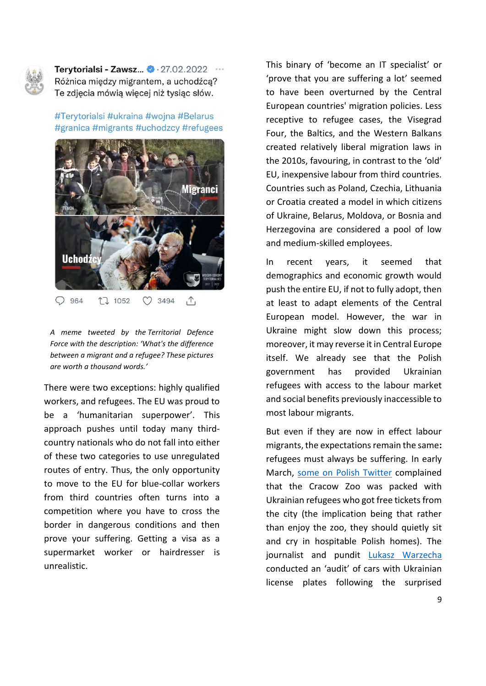

Terytorialsi - Zawsz...  $\bullet$  · 27.02.2022 Różnica między migrantem, a uchodźcą? Te zdjęcia mówią więcej niż tysiąc słów.

#Terytorialsi #ukraina #wojna #Belarus #granica #migrants #uchodzcy #refugees



*A meme tweeted by the [Territorial Defence](https://en.wikipedia.org/wiki/Territorial_Defence_Force_(Poland))  [Force](https://en.wikipedia.org/wiki/Territorial_Defence_Force_(Poland)) with the description: 'What's the difference between a migrant and a refugee? These pictures are worth a thousand words.'*

There were two exceptions: highly qualified workers, and refugees. The EU was proud to be a 'humanitarian superpower'. This approach pushes until today many thirdcountry nationals who do not fall into either of these two categories to use unregulated routes of entry. Thus, the only opportunity to move to the EU for blue-collar workers from third countries often turns into a competition where you have to cross the border in dangerous conditions and then prove your suffering. Getting a visa as a supermarket worker or hairdresser is unrealistic.

This binary of 'become an IT specialist' or 'prove that you are suffering a lot' seemed to have been overturned by the Central European countries' migration policies. Less receptive to refugee cases, the Visegrad Four, the Baltics, and the Western Balkans created relatively liberal migration laws in the 2010s, favouring, in contrast to the 'old' EU, inexpensive labour from third countries. Countries such as Poland, Czechia, Lithuania or Croatia created a model in which citizens of Ukraine, Belarus, Moldova, or Bosnia and Herzegovina are considered a pool of low and medium-skilled employees.

In recent years, it seemed that demographics and economic growth would push the entire EU, if not to fully adopt, then at least to adapt elements of the Central European model. However, the war in Ukraine might slow down this process; moreover, it may reverse it in Central Europe itself. We already see that the Polish government has provided Ukrainian refugees with access to the labour market and social benefits previously inaccessible to most labour migrants.

But even if they are now in effect labour migrants, the expectations remain the same**:**  refugees must always be suffering. In early March, [some on Polish Twitter](https://twitter.com/eco_nie/status/1508445330928545795?s=20&t=n4mHITo8wCLXHYcB1LMjEQ) complained that the Cracow Zoo was packed with Ukrainian refugees who got free tickets from the city (the implication being that rather than enjoy the zoo, they should quietly sit and cry in hospitable Polish homes). The journalist and pundit [Lukasz Warzecha](https://twitter.com/lkwarzecha/status/1505161310836776963) conducted an 'audit' of cars with Ukrainian license plates following the surprised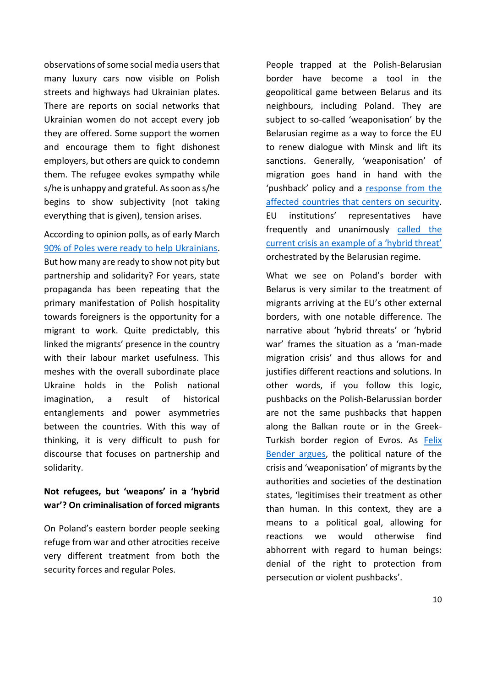observations of some social media users that many luxury cars now visible on Polish streets and highways had Ukrainian plates. There are reports on social networks that Ukrainian women do not accept every job they are offered. Some support the women and encourage them to fight dishonest employers, but others are quick to condemn them. The refugee evokes sympathy while s/he is unhappy and grateful. As soon as s/he begins to show subjectivity (not taking everything that is given), tension arises.

According to opinion polls, as of early March [90% of Poles were ready to help Ukrainians.](https://www.rp.pl/spoleczenstwo/art35776491-sondaz-wiekszosc-polakow-gotowych-na-przyjecie-wszystkich-uciekinierow-z-ukrainy) But how many are ready to show not pity but partnership and solidarity? For years, state propaganda has been repeating that the primary manifestation of Polish hospitality towards foreigners is the opportunity for a migrant to work. Quite predictably, this linked the migrants' presence in the country with their labour market usefulness. This meshes with the overall subordinate place Ukraine holds in the Polish national imagination, a result of historical entanglements and power asymmetries between the countries. With this way of thinking, it is very difficult to push for discourse that focuses on partnership and solidarity.

## **Not refugees, but 'weapons' in a 'hybrid war'? On criminalisation of forced migrants**

On Poland's eastern border people seeking refuge from war and other atrocities receive very different treatment from both the security forces and regular Poles.

People trapped at the Polish-Belarusian border have become a tool in the geopolitical game between Belarus and its neighbours, including Poland. They are subject to so-called 'weaponisation' by the Belarusian regime as a way to force the EU to renew dialogue with Minsk and lift its sanctions. Generally, 'weaponisation' of migration goes hand in hand with the 'pushback' policy and a [response from the](https://www.migracje.uw.edu.pl/wp-content/uploads/2022/01/Spotlight-DECEMBER-2021-2-1.pdf)  [affected countries that centers on security.](https://www.migracje.uw.edu.pl/wp-content/uploads/2022/01/Spotlight-DECEMBER-2021-2-1.pdf) EU institutions' representatives have frequently and unanimously [called the](https://ec.europa.eu/commission/presscorner/detail/en/SPEECH_21_4701)  [current crisis an example of a 'hybrid threat'](https://ec.europa.eu/commission/presscorner/detail/en/SPEECH_21_4701) orchestrated by the Belarusian regime.

What we see on Poland's border with Belarus is very similar to the treatment of migrants arriving at the EU's other external borders, with one notable difference. The narrative about 'hybrid threats' or 'hybrid war' frames the situation as a 'man-made migration crisis' and thus allows for and justifies different reactions and solutions. In other words, if you follow this logic, pushbacks on the Polish-Belarussian border are not the same pushbacks that happen along the Balkan route or in the Greek-Turkish border region of Evros. As [Felix](https://socialeurope.eu/against-weaponised-migration)  [Bender argues,](https://socialeurope.eu/against-weaponised-migration) the political nature of the crisis and 'weaponisation' of migrants by the authorities and societies of the destination states, 'legitimises their treatment as other than human. In this context, they are a means to a political goal, allowing for reactions we would otherwise find abhorrent with regard to human beings: denial of the right to protection from persecution or violent pushbacks'.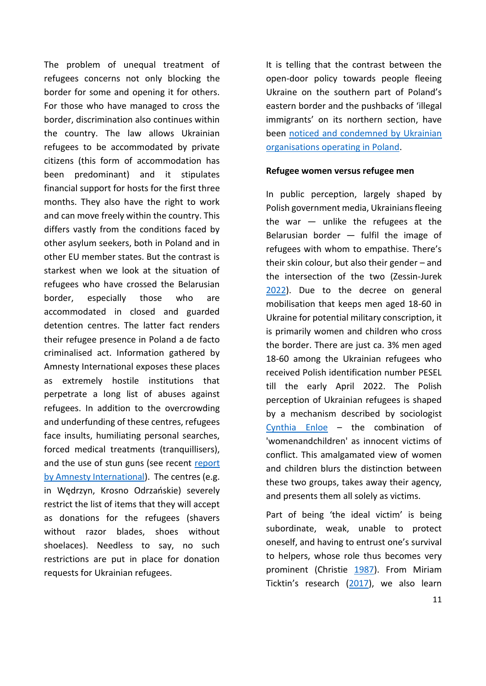The problem of unequal treatment of refugees concerns not only blocking the border for some and opening it for others. For those who have managed to cross the border, discrimination also continues within the country. The law allows Ukrainian refugees to be accommodated by private citizens (this form of accommodation has been predominant) and it stipulates financial support for hosts for the first three months. They also have the right to work and can move freely within the country. This differs vastly from the conditions faced by other asylum seekers, both in Poland and in other EU member states. But the contrast is starkest when we look at the situation of refugees who have crossed the Belarusian border, especially those who are accommodated in closed and guarded detention centres. The latter fact renders their refugee presence in Poland a de facto criminalised act. Information gathered by Amnesty International exposes these places as extremely hostile institutions that perpetrate a long list of abuses against refugees. In addition to the overcrowding and underfunding of these centres, refugees face insults, humiliating personal searches, forced medical treatments (tranquillisers), and the use of stun guns (see recent [report](https://amnesty.org.pl/okrutne-traktowanie-na-granicy-polsko-bialoruskiej-i-w-osrodkach-dla-cudzoziemcow/)  [by Amnesty International\)](https://amnesty.org.pl/okrutne-traktowanie-na-granicy-polsko-bialoruskiej-i-w-osrodkach-dla-cudzoziemcow/). The centres (e.g. in Wędrzyn, Krosno Odrzańskie) severely restrict the list of items that they will accept as donations for the refugees (shavers without razor blades, shoes without shoelaces). Needless to say, no such restrictions are put in place for donation requests for Ukrainian refugees.

It is telling that the contrast between the open-door policy towards people fleeing Ukraine on the southern part of Poland's eastern border and the pushbacks of 'illegal immigrants' on its northern section, have been [noticed and condemned by Ukrainian](https://oko.press/organizacje-ukrainskie-czemu-polska-ktory-tak-wspaniale-nam-pomaga-tak-okrutnie-wywozi-do-lasu/)  [organisations operating in Poland.](https://oko.press/organizacje-ukrainskie-czemu-polska-ktory-tak-wspaniale-nam-pomaga-tak-okrutnie-wywozi-do-lasu/)

#### **Refugee women versus refugee men**

In public perception, largely shaped by Polish government media, Ukrainians fleeing the war  $-$  unlike the refugees at the Belarusian border  $-$  fulfil the image of refugees with whom to empathise. There's their skin colour, but also their gender – and the intersection of the two (Zessin-Jurek [2022\)](https://www.eurozine.com/real-refugees-fake-refugees/). Due to the decree on general mobilisation that keeps men aged 18-60 in Ukraine for potential military conscription, it is primarily women and children who cross the border. There are just ca. 3% men aged 18-60 among the Ukrainian refugees who received Polish identification number PESEL till the early April 2022. The Polish perception of Ukrainian refugees is shaped by a mechanism described by sociologist [Cynthia Enloe](https://www.clarku.edu/departments/womens-and-gender-studies/people/professor-cynthia-enloe) – the combination of 'womenandchildren' as innocent victims of conflict. This amalgamated view of women and children blurs the distinction between these two groups, takes away their agency, and presents them all solely as victims.

Part of being 'the ideal victim' is being subordinate, weak, unable to protect oneself, and having to entrust one's survival to helpers, whose role thus becomes very prominent (Christie [1987\)](doi:10.1007/978-1-349-08305-3_2). From Miriam Ticktin's research ([2017\)](https://doi.org/10.1111/amet.12558), we also learn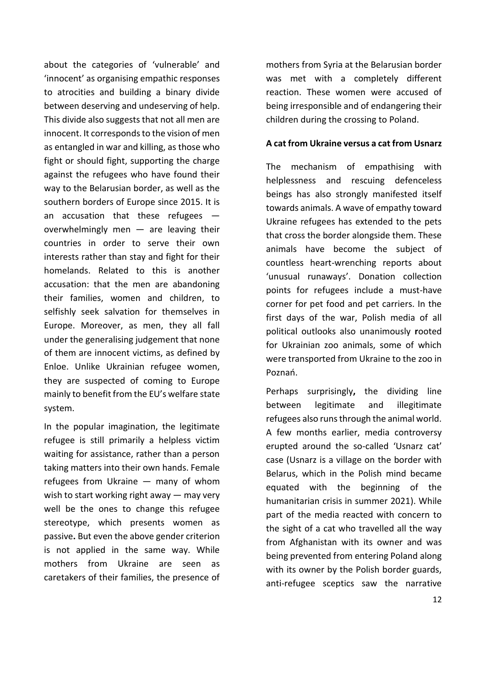about the categories of 'vulnerable' and 'innocent' as organising empathic responses to atrocities and building a binary divide between deserving and undeserving of help. This divide also suggests that not all men are innocent. It corresponds to the vision of men as entangled in war and killing, as those who fight or should fight, supporting the charge against the refugees who have found their way to the Belarusian border, as well as the southern borders of Europe since 2015. It is an accusation that these refugees  $$ overwhelmingly men  $-$  are leaving their countries in order to serve their own interests rather than stay and fight for their homelands. Related to this is another accusation: that the men are abandoning their families, women and children, to selfishly seek salvation for themselves in Europe. Moreover, as men, they all fall under the generalising judgement that none of them are innocent victims, as defined by Enloe. Unlike Ukrainian refugee women, they are suspected of coming to Europe mainly to benefit from the EU's welfare state system.

In the popular imagination, the legitimate refugee is still primarily a helpless victim waiting for assistance, rather than a person taking matters into their own hands. Female refugees from Ukraine — many of whom wish to start working right away — may very well be the ones to change this refugee stereotype, which presents women as passive**.** But even the above gender criterion is not applied in the same way. While mothers from Ukraine are seen as caretakers of their families, the presence of mothers from Syria at the Belarusian border was met with a completely different reaction. These women were accused of being irresponsible and of endangering their children during the crossing to Poland.

#### **A cat from Ukraine versus a cat from Usnarz**

The mechanism of empathising with helplessness and rescuing defenceless beings has also strongly manifested itself towards animals. A wave of empathy toward Ukraine refugees has extended to the pets that cross the border alongside them. These animals have become the subject of countless heart-wrenching reports about 'unusual runaways'. Donation collection points for refugees include a must-have corner for pet food and pet carriers. In the first days of the war, Polish media of all political outlooks also unanimously **r**ooted for Ukrainian zoo animals, some of which were transported from Ukraine to the zoo in Poznań.

Perhaps surprisingly**,** the dividing line between legitimate and illegitimate refugees also runs through the animal world. A few months earlier, media controversy erupted around the so-called 'Usnarz cat' case (Usnarz is a village on the border with Belarus, which in the Polish mind became equated with the beginning of the humanitarian crisis in summer 2021). While part of the media reacted with concern to the sight of a cat who travelled all the way from Afghanistan with its owner and was being prevented from entering Poland along with its owner by the Polish border guards, anti-refugee sceptics saw the narrative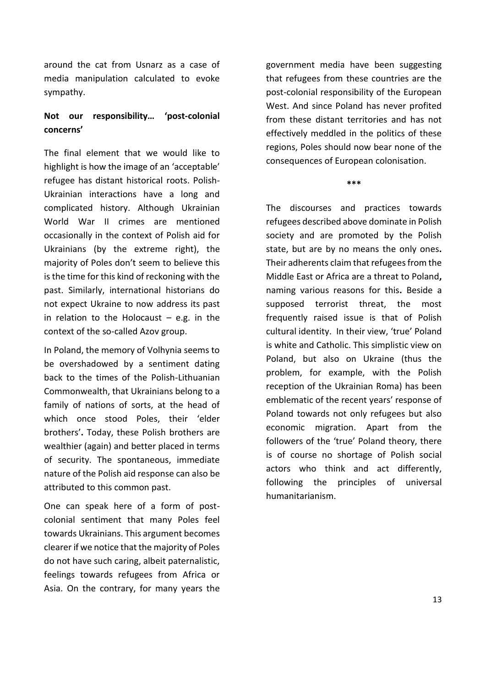around the cat from Usnarz as a case of media manipulation calculated to evoke sympathy.

#### **Not our responsibility… 'post-colonial concerns'**

The final element that we would like to highlight is how the image of an 'acceptable' refugee has distant historical roots. Polish-Ukrainian interactions have a long and complicated history. Although Ukrainian World War II crimes are mentioned occasionally in the context of Polish aid for Ukrainians (by the extreme right), the majority of Poles don't seem to believe this is the time for this kind of reckoning with the past. Similarly, international historians do not expect Ukraine to now address its past in relation to the Holocaust  $-$  e.g. in the context of the so-called Azov group.

In Poland, the memory of Volhynia seems to be overshadowed by a sentiment dating back to the times of the Polish-Lithuanian Commonwealth, that Ukrainians belong to a family of nations of sorts, at the head of which once stood Poles, their 'elder brothers'**.** Today, these Polish brothers are wealthier (again) and better placed in terms of security. The spontaneous, immediate nature of the Polish aid response can also be attributed to this common past.

One can speak here of a form of postcolonial sentiment that many Poles feel towards Ukrainians. This argument becomes clearer if we notice that the majority of Poles do not have such caring, albeit paternalistic, feelings towards refugees from Africa or Asia. On the contrary, for many years the

government media have been suggesting that refugees from these countries are the post-colonial responsibility of the European West. And since Poland has never profited from these distant territories and has not effectively meddled in the politics of these regions, Poles should now bear none of the consequences of European colonisation.

**\*\*\***

The discourses and practices towards refugees described above dominate in Polish society and are promoted by the Polish state, but are by no means the only ones**.**  Their adherents claim that refugees from the Middle East or Africa are a threat to Poland**,** naming various reasons for this**.** Beside a supposed terrorist threat, the most frequently raised issue is that of Polish cultural identity.In their view, 'true' Poland is white and Catholic. This simplistic view on Poland, but also on Ukraine (thus the problem, for example, with the Polish reception of the Ukrainian Roma) has been emblematic of the recent years' response of Poland towards not only refugees but also economic migration. Apart from the followers of the 'true' Poland theory, there is of course no shortage of Polish social actors who think and act differently, following the principles of universal humanitarianism.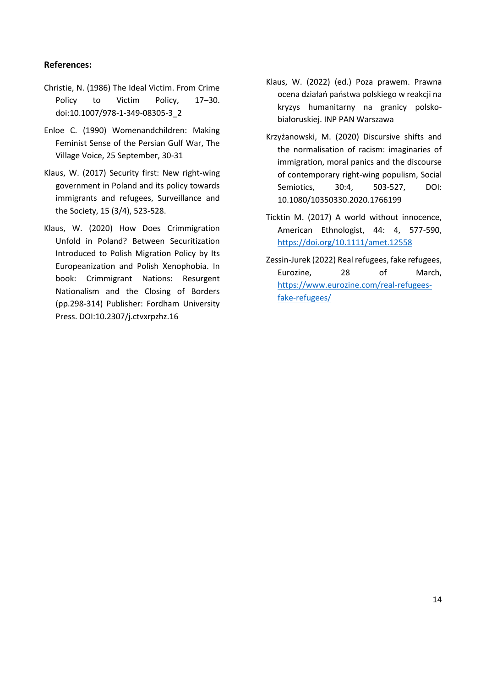#### **References:**

- Christie, N. (1986) The Ideal Victim. From Crime Policy to Victim Policy, 17–30. doi:10.1007/978-1-349-08305-3\_2
- Enloe C. (1990) Womenandchildren: Making Feminist Sense of the Persian Gulf War, The Village Voice, 25 September, 30-31
- Klaus, W. (2017) Security first: New right-wing government in Poland and its policy towards immigrants and refugees, Surveillance and the Society, 15 (3/4), 523-528.
- Klaus, W. (2020) How Does Crimmigration Unfold in Poland? Between Securitization Introduced to Polish Migration Policy by Its Europeanization and Polish Xenophobia. In book: Crimmigrant Nations: Resurgent Nationalism and the Closing of Borders (pp.298-314) Publisher: Fordham University Press. DOI:10.2307/j.ctvxrpzhz.16
- Klaus, W. (2022) (ed.) Poza prawem. Prawna ocena działań państwa polskiego w reakcji na kryzys humanitarny na granicy polskobiałoruskiej. INP PAN Warszawa
- Krzyżanowski, M. (2020) Discursive shifts and the normalisation of racism: imaginaries of immigration, moral panics and the discourse of contemporary right-wing populism, Social Semiotics, 30:4, 503-527, DOI: 10.1080/10350330.2020.1766199
- Ticktin M. (2017) A world without innocence, American Ethnologist, 44: 4, 577-590, <https://doi.org/10.1111/amet.12558>
- Zessin-Jurek (2022) Real refugees, fake refugees, Eurozine, 28 of March, [https://www.eurozine.com/real-refugees](https://www.eurozine.com/real-refugees-fake-refugees/)[fake-refugees/](https://www.eurozine.com/real-refugees-fake-refugees/)